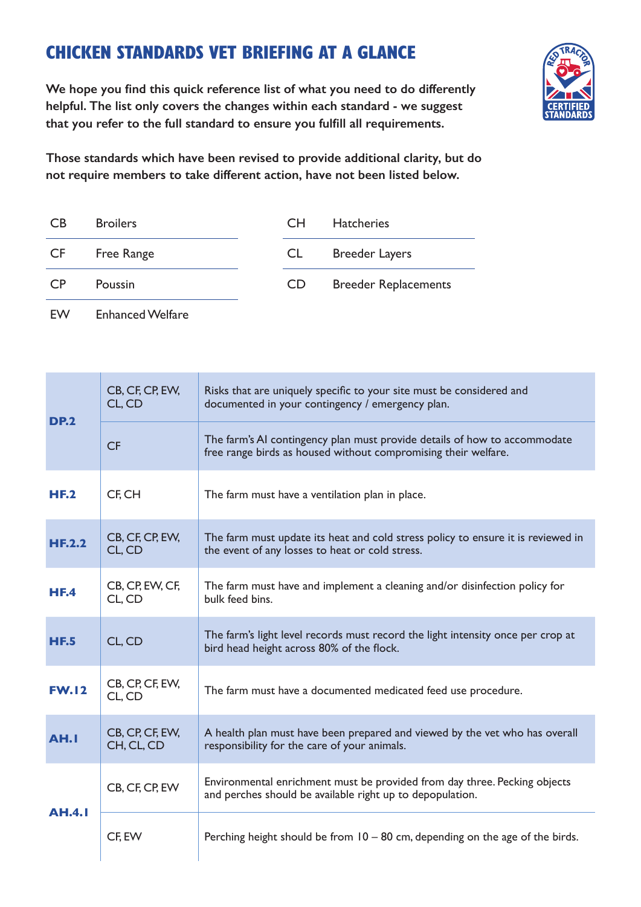## CHICKEN STANDARDS VET BRIEFING AT A GLANCE



**We hope you find this quick reference list of what you need to do differently helpful. The list only covers the changes within each standard - we suggest that you refer to the full standard to ensure you fulfill all requirements.** 

**Those standards which have been revised to provide additional clarity, but do not require members to take different action, have not been listed below.**

| CB. | <b>Broilers</b> | CH.       | <b>Hatcheries</b>           |
|-----|-----------------|-----------|-----------------------------|
| CF  | Free Range      | CL.       | <b>Breeder Layers</b>       |
| CP. | <b>Poussin</b>  | <b>CD</b> | <b>Breeder Replacements</b> |

EW Enhanced Welfare

| <b>DP.2</b>   | CB, CF, CP, EW,<br>CL, CD     | Risks that are uniquely specific to your site must be considered and<br>documented in your contingency / emergency plan.                    |  |
|---------------|-------------------------------|---------------------------------------------------------------------------------------------------------------------------------------------|--|
|               | <b>CF</b>                     | The farm's AI contingency plan must provide details of how to accommodate<br>free range birds as housed without compromising their welfare. |  |
| <b>HF.2</b>   | CF, CH                        | The farm must have a ventilation plan in place.                                                                                             |  |
| HE.2.2        | CB, CF, CP, EW,<br>CL, CD     | The farm must update its heat and cold stress policy to ensure it is reviewed in<br>the event of any losses to heat or cold stress.         |  |
| HE.4          | CB, CP, EW, CF,<br>CL, CD     | The farm must have and implement a cleaning and/or disinfection policy for<br>bulk feed bins.                                               |  |
| <b>HF.5</b>   | CL, CD                        | The farm's light level records must record the light intensity once per crop at<br>bird head height across 80% of the flock.                |  |
| <b>FW.12</b>  | CB, CP, CF, EW,<br>CL, CD     | The farm must have a documented medicated feed use procedure.                                                                               |  |
| AH.I          | CB, CP, CF, EW,<br>CH, CL, CD | A health plan must have been prepared and viewed by the vet who has overall<br>responsibility for the care of your animals.                 |  |
| <b>AH.4.1</b> | CB, CF, CP, EW                | Environmental enrichment must be provided from day three. Pecking objects<br>and perches should be available right up to depopulation.      |  |
|               | CF, EW                        | Perching height should be from $10 - 80$ cm, depending on the age of the birds.                                                             |  |